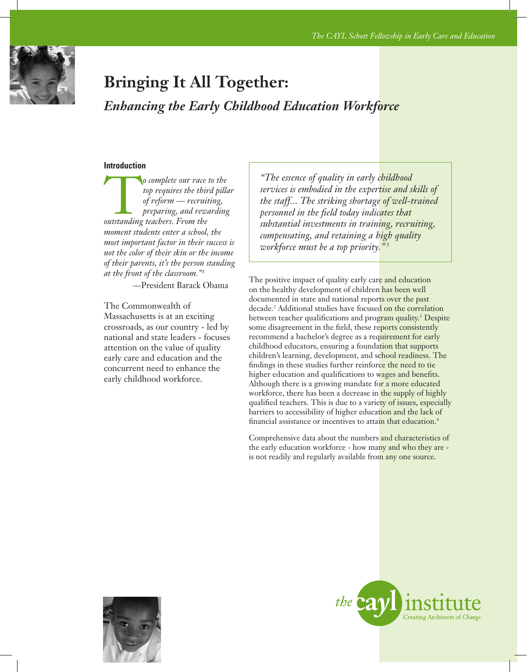

# **Bringing It All Together:**

*Enhancing the Early Childhood Education Workforce*

#### **Introduction**

o complete our race to the<br> *top requires the third pilla*<br>
of reform — recruiting,<br>
preparing, and rewarding<br>
outstanding teachers. From the *top requires the third pillar of reform — recruiting, preparing, and rewarding moment students enter a school, the most important factor in their success is not the color of their skin or the income of their parents, it's the person standing at the front of the classroom."1*

—President Barack Obama

The Commonwealth of Massachusetts is at an exciting crossroads, as our country - led by national and state leaders - focuses attention on the value of quality early care and education and the concurrent need to enhance the early childhood workforce.

*"The essence of quality in early childhood services is embodied in the expertise and skills of the staff... The striking shortage of well-trained personnel in the field today indicates that substantial investments in training, recruiting, compensating, and retaining a high quality workforce must be a top priority." <sup>5</sup>*

The positive impact of quality early care and education on the healthy development of children has been well documented in state and national reports over the past decade.<sup>2</sup> Additional studies have focused on the correlation between teacher qualifications and program quality.<sup>3</sup> Despite some disagreement in the field, these reports consistently recommend a bachelor's degree as a requirement for early childhood educators, ensuring a foundation that supports children's learning, development, and school readiness. The findings in these studies further reinforce the need to tie higher education and qualifications to wages and benefits. Although there is a growing mandate for a more educated workforce, there has been a decrease in the supply of highly qualified teachers. This is due to a variety of issues, especially barriers to accessibility of higher education and the lack of financial assistance or incentives to attain that education.<sup>4</sup>

Comprehensive data about the numbers and characteristics of the early education workforce - how many and who they are is not readily and regularly available from any one source.



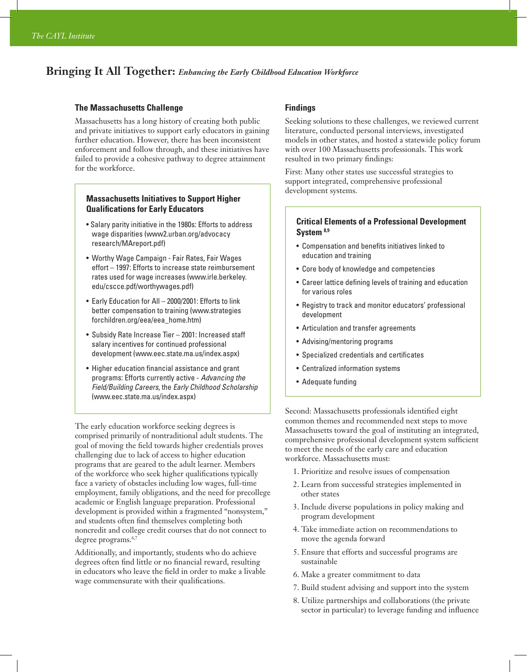## **Bringing It All Together:** *Enhancing the Early Childhood Education Workforce*

#### **The Massachusetts Challenge**

Massachusetts has a long history of creating both public and private initiatives to support early educators in gaining further education. However, there has been inconsistent enforcement and follow through, and these initiatives have failed to provide a cohesive pathway to degree attainment for the workforce.

#### **Massachusetts Initiatives to Support Higher Qualifications for Early Educators**

- Salary parity initiative in the 1980s: Efforts to address wage disparities (www2.urban.org/advocacy research/MAreport.pdf)
- Worthy Wage Campaign Fair Rates, Fair Wages effort – 1997: Efforts to increase state reimbursement rates used for wage increases (www.irle.berkeley. edu/cscce.pdf/worthywages.pdf)
- Early Education for All 2000/2001: Efforts to link better compensation to training (www.strategies forchildren.org/eea/eea\_home.htm)
- Subsidy Rate Increase Tier 2001: Increased staff salary incentives for continued professional development (www.eec.state.ma.us/index.aspx)
- Higher education financial assistance and grant programs: Efforts currently active - *Advancing the Field/Building Careers*, the *Early Childhood Scholarship* (www.eec.state.ma.us/index.aspx)

The early education workforce seeking degrees is comprised primarily of nontraditional adult students. The goal of moving the field towards higher credentials proves challenging due to lack of access to higher education programs that are geared to the adult learner. Members of the workforce who seek higher qualifications typically face a variety of obstacles including low wages, full-time employment, family obligations, and the need for precollege academic or English language preparation. Professional development is provided within a fragmented "nonsystem," and students often find themselves completing both noncredit and college credit courses that do not connect to degree programs.<sup>6,7</sup>

Additionally, and importantly, students who do achieve degrees often find little or no financial reward, resulting in educators who leave the field in order to make a livable wage commensurate with their qualifications.

#### **Findings**

Seeking solutions to these challenges, we reviewed current literature, conducted personal interviews, investigated models in other states, and hosted a statewide policy forum with over 100 Massachusetts professionals. This work resulted in two primary findings:

First: Many other states use successful strategies to support integrated, comprehensive professional development systems.

#### **Critical Elements of a Professional Development System 8,9**

- Compensation and benefits initiatives linked to education and training
- Core body of knowledge and competencies
- Career lattice defining levels of training and education for various roles
- Registry to track and monitor educators' professional development
- Articulation and transfer agreements
- Advising/mentoring programs
- Specialized credentials and certificates
- Centralized information systems
- Adequate funding

Second: Massachusetts professionals identified eight common themes and recommended next steps to move Massachusetts toward the goal of instituting an integrated, comprehensive professional development system sufficient to meet the needs of the early care and education workforce. Massachusetts must:

- 1. Prioritize and resolve issues of compensation
- 2. Learn from successful strategies implemented in other states
- 3. Include diverse populations in policy making and program development
- 4. Take immediate action on recommendations to move the agenda forward
- 5. Ensure that efforts and successful programs are sustainable
- 6. Make a greater commitment to data
- 7. Build student advising and support into the system
- 8. Utilize partnerships and collaborations (the private sector in particular) to leverage funding and influence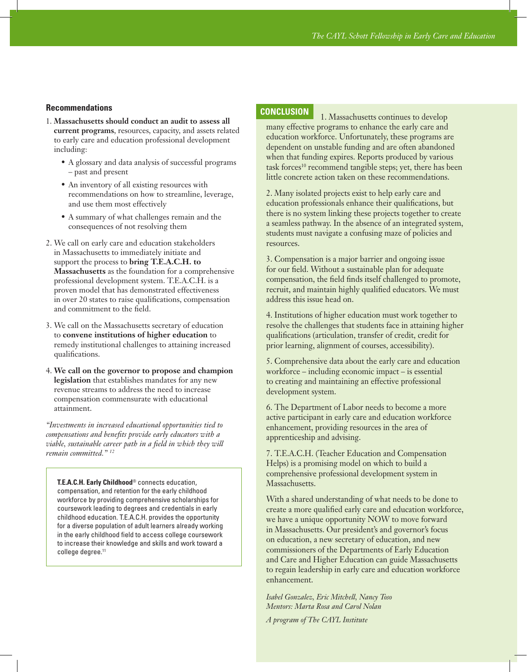#### **Recommendations**

- 1. **Massachusetts should conduct an audit to assess all current programs**, resources, capacity, and assets related to early care and education professional development including:
	- • A glossary and data analysis of successful programs – past and present
	- An inventory of all existing resources with recommendations on how to streamline, leverage, and use them most effectively
	- A summary of what challenges remain and the consequences of not resolving them
- 2. We call on early care and education stakeholders in Massachusetts to immediately initiate and support the process to **bring T.E.A.C.H. to Massachusetts** as the foundation for a comprehensive professional development system. T.E.A.C.H. is a proven model that has demonstrated effectiveness in over 20 states to raise qualifications, compensation and commitment to the field.
- 3. We call on the Massachusetts secretary of education to **convene institutions of higher education** to remedy institutional challenges to attaining increased qualifications.
- 4. **We call on the governor to propose and champion legislation** that establishes mandates for any new revenue streams to address the need to increase compensation commensurate with educational attainment.

*"Investments in increased educational opportunities tied to compensations and benefits provide early educators with a viable, sustainable career path in a field in which they will remain committed." 12*

**T.E.A.C.H. Early Childhood**® connects education, compensation, and retention for the early childhood workforce by providing comprehensive scholarships for coursework leading to degrees and credentials in early childhood education. T.E.A.C.H. provides the opportunity for a diverse population of adult learners already working in the early childhood field to access college coursework to increase their knowledge and skills and work toward a college degree.<sup>11</sup>

### **CONCLUSION**

1. Massachusetts continues to develop many effective programs to enhance the early care and education workforce. Unfortunately, these programs are dependent on unstable funding and are often abandoned when that funding expires. Reports produced by various task forces<sup>10</sup> recommend tangible steps; yet, there has been little concrete action taken on these recommendations.

2. Many isolated projects exist to help early care and education professionals enhance their qualifications, but there is no system linking these projects together to create a seamless pathway. In the absence of an integrated system, students must navigate a confusing maze of policies and resources.

3. Compensation is a major barrier and ongoing issue for our field. Without a sustainable plan for adequate compensation, the field finds itself challenged to promote, recruit, and maintain highly qualified educators. We must address this issue head on.

4. Institutions of higher education must work together to resolve the challenges that students face in attaining higher qualifications (articulation, transfer of credit, credit for prior learning, alignment of courses, accessibility).

5. Comprehensive data about the early care and education workforce – including economic impact – is essential to creating and maintaining an effective professional development system.

6. The Department of Labor needs to become a more active participant in early care and education workforce enhancement, providing resources in the area of apprenticeship and advising.

7. T.E.A.C.H. (Teacher Education and Compensation Helps) is a promising model on which to build a comprehensive professional development system in Massachusetts.

With a shared understanding of what needs to be done to create a more qualified early care and education workforce, we have a unique opportunity NOW to move forward in Massachusetts. Our president's and governor's focus on education, a new secretary of education, and new commissioners of the Departments of Early Education and Care and Higher Education can guide Massachusetts to regain leadership in early care and education workforce enhancement.

*Isabel Gonzalez, Eric Mitchell, Nancy Toso Mentors: Marta Rosa and Carol Nolan*

*A program of The CAYL Institute*